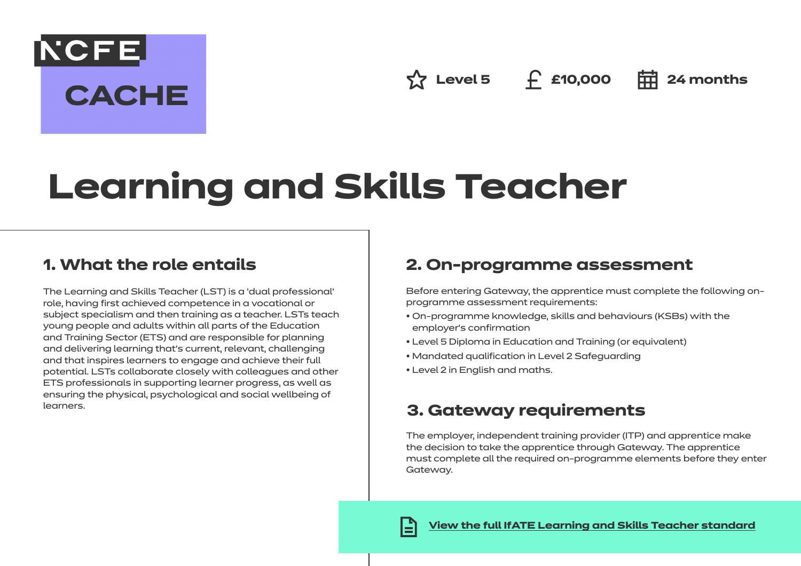**NCFE CACHE** 

**☆ Level 5 £10,000 = 24 months** 

# **Learning and Skills Teacher**

# **1. What the role entails**

The Learning and Skills Teacher (LST) is a 'dual professional' role, having first achieved competence in a vocational or subject specialism and then training as a teacher. LSTs teach young people and adults within all parts of the Education and Training Sector (ETS) and are responsible for planning and delivering learning that's current, relevant, challenging and that inspires learners to engage and achieve their full potential. LSTs collaborate closely with colleagues and other ETS professionals in supporting learner progress, as well as ensuring the physical, psychological and social wellbeing of learners.

# **2. On-programme assessment**

Before entering Gateway, the apprentice must complete the following onprogramme assessment requirements:

- On-programme knowledge, skills and behaviours (KSBs) with the employer's confirmation
- Level 5 Diploma in Education and Training (or equivalent)
- Mandated qualification in Level 2 Safeguarding
- Level 2 in English and maths.

# **3. Gateway requirements**

The employer, independent training provider (ITP) and apprentice make the decision to take the apprentice through Gateway. The apprentice must complete all the required on-programme elements before they enter Gateway.